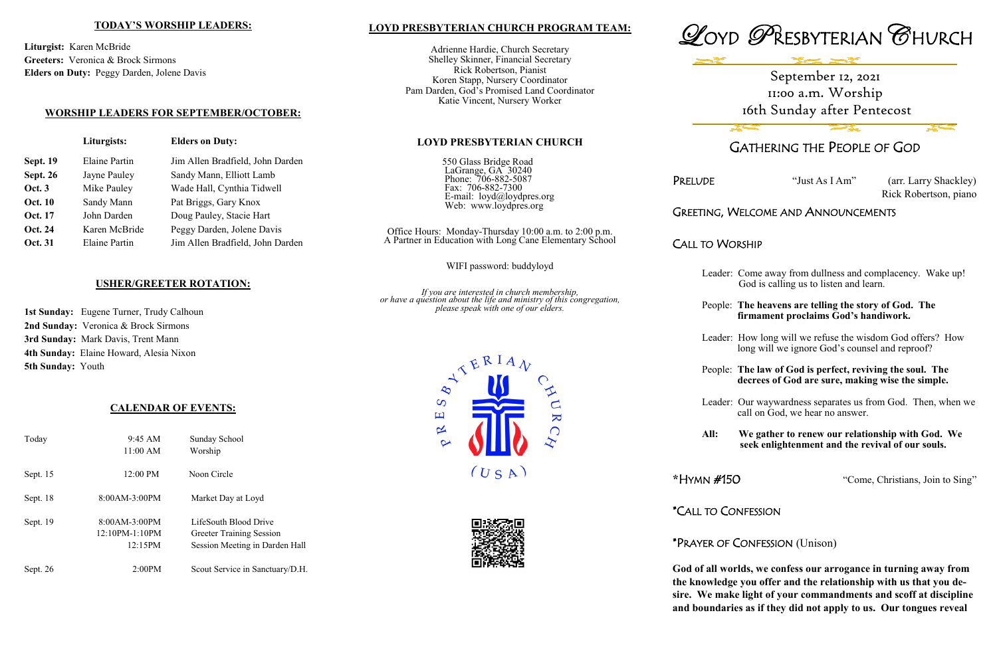# **LOYD PRESBYTERIAN CHURCH PROGRAM TEAM:**

Adrienne Hardie, Church Secretary Shelley Skinner, Financial Secretary Rick Robertson, Pianist Koren Stapp, Nursery Coordinator Pam Darden, God's Promised Land Coordinator Katie Vincent, Nursery Worker

LaGrange, GA<sup>3</sup> 30240 Phone: 706-882-5087 Fax: 706-882-7300





**LOYD PRESBYTERIAN CHURCH**

550 Glass Bridge Road

 E-mail: loyd@loydpres.org Web: www.loydpres.org

PRELUDE "Just As I Am" (arr. Larry Shackley) Rick Robertson, piano

Office Hours: Monday-Thursday 10:00 a.m. to 2:00 p.m. A Partner in Education with Long Cane Elementary School

WIFI password: buddyloyd

*If you are interested in church membership, or have a question about the life and ministry of this congregation, please speak with one of our elders.*



# GATHERING THE PEOPLE OF GOD

# GREETING, WELCOME AND ANNOUNCEMENTS

CALL TO WORSHIP

- Leader: Come away from dullness and complacency. Wake up! God is calling us to listen and learn.
- People: **The heavens are telling the story of God. The firmament proclaims God's handiwork.**
- Leader: How long will we refuse the wisdom God offers? How long will we ignore God's counsel and reproof?
- People: **The law of God is perfect, reviving the soul. The decrees of God are sure, making wise the simple.**
- Leader: Our waywardness separates us from God. Then, when we call on God, we hear no answer.
- **All: We gather to renew our relationship with God. We seek enlightenment and the revival of our souls.**

**\***HYMN #150 "Come, Christians, Join to Sing"

\*CALL TO CONFESSION

# \*PRAYER OF CONFESSION (Unison)

**God of all worlds, we confess our arrogance in turning away from the knowledge you offer and the relationship with us that you desire. We make light of your commandments and scoff at discipline and boundaries as if they did not apply to us. Our tongues reveal** 

### **TODAY'S WORSHIP LEADERS:**

**Liturgist:** Karen McBride **Greeters:** Veronica & Brock Sirmons **Elders on Duty:** Peggy Darden, Jolene Davis

# **WORSHIP LEADERS FOR SEPTEMBER/OCTOBER:**

**Liturgists: Elders on Duty:**

**Sept. 19** Elaine Partin Jim Allen Bradfield, John Darden

**Sept. 26** Jayne Pauley Sandy Mann, Elliott Lamb **Oct. 3** Mike Pauley Wade Hall, Cynthia Tidwell

**Oct. 10** Sandy Mann Pat Briggs, Gary Knox **Oct. 17** John Darden Doug Pauley, Stacie Hart **Oct. 24** Karen McBride Peggy Darden, Jolene Davis

# **USHER/GREETER ROTATION:**

**Oct. 31** Elaine Partin Jim Allen Bradfield, John Darden

**1st Sunday:** Eugene Turner, Trudy Calhoun **2nd Sunday:** Veronica & Brock Sirmons **3rd Sunday:** Mark Davis, Trent Mann **4th Sunday:** Elaine Howard, Alesia Nixon **5th Sunday:** Youth

# **CALENDAR OF EVENTS:**

| Today    | $9:45 \text{ AM}$                            | Sunday School                                                                              |
|----------|----------------------------------------------|--------------------------------------------------------------------------------------------|
|          | 11:00 AM                                     | Worship                                                                                    |
| Sept. 15 | 12:00 PM                                     | Noon Circle                                                                                |
| Sept. 18 | 8:00AM-3:00PM                                | Market Day at Loyd                                                                         |
| Sept. 19 | 8:00AM-3:00PM<br>$12:10PM-1:10PM$<br>12:15PM | LifeSouth Blood Drive<br><b>Greeter Training Session</b><br>Session Meeting in Darden Hall |
| Sept. 26 | 2:00PM                                       | Scout Service in Sanctuary/D.H.                                                            |





# September 12, 2021 11:00 a.m. Worship 16th Sunday after Pentecost